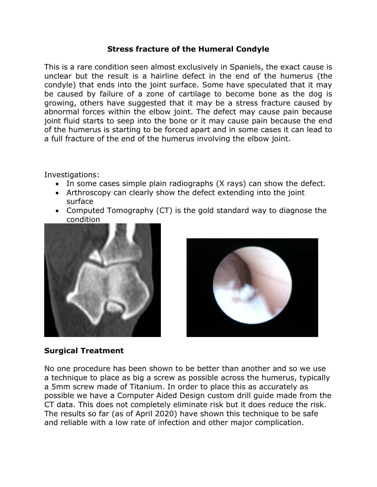## **Stress fracture of the Humeral Condyle**

This is a rare condition seen almost exclusively in Spaniels, the exact cause is unclear but the result is a hairline defect in the end of the humerus (the condyle) that ends into the joint surface. Some have speculated that it may be caused by failure of a zone of cartilage to become bone as the dog is growing, others have suggested that it may be a stress fracture caused by abnormal forces within the elbow joint. The defect may cause pain because joint fluid starts to seep into the bone or it may cause pain because the end of the humerus is starting to be forced apart and in some cases it can lead to a full fracture of the end of the humerus involving the elbow joint.

Investigations:

- In some cases simple plain radiographs (X rays) can show the defect.
- Arthroscopy can clearly show the defect extending into the joint surface
- Computed Tomography (CT) is the gold standard way to diagnose the condition





## **Surgical Treatment**

No one procedure has been shown to be better than another and so we use a technique to place as big a screw as possible across the humerus, typically a 5mm screw made of Titanium. In order to place this as accurately as possible we have a Computer Aided Design custom drill guide made from the CT data. This does not completely eliminate risk but it does reduce the risk. The results so far (as of April 2020) have shown this technique to be safe and reliable with a low rate of infection and other major complication.

 $\overline{\phantom{a}}$